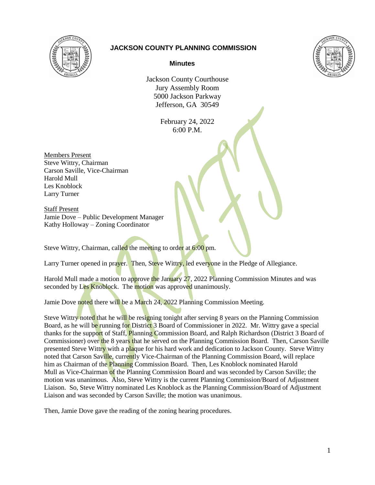

## **JACKSON COUNTY PLANNING COMMISSION**



## **Minutes**

Jackson County Courthouse Jury Assembly Room 5000 Jackson Parkway Jefferson, GA 30549

> February 24, 2022 6:00 P.M.

Members Present Steve Wittry, Chairman Carson Saville, Vice-Chairman Harold Mull Les Knoblock Larry Turner

Staff Present Jamie Dove – Public Development Manager Kathy Holloway – Zoning Coordinator

Steve Wittry, Chairman, called the meeting to order at 6:00 pm.

Larry Turner opened in prayer. Then, Steve Wittry, led everyone in the Pledge of Allegiance.

Harold Mull made a motion to approve the January 27, 2022 Planning Commission Minutes and was seconded by Les Knoblock. The motion was approved unanimously.

Jamie Dove noted there will be a March 24, 2022 Planning Commission Meeting.

Steve Wittry noted that he will be resigning tonight after serving 8 years on the Planning Commission Board, as he will be running for District 3 Board of Commissioner in 2022. Mr. Wittry gave a special thanks for the support of Staff, Planning Commission Board, and Ralph Richardson (District 3 Board of Commissioner) over the 8 years that he served on the Planning Commission Board. Then, Carson Saville presented Steve Wittry with a plaque for his hard work and dedication to Jackson County. Steve Wittry noted that Carson Saville, currently Vice-Chairman of the Planning Commission Board, will replace him as Chairman of the Planning Commission Board. Then, Les Knoblock nominated Harold Mull as Vice-Chairman of the Planning Commission Board and was seconded by Carson Saville; the motion was unanimous. Also, Steve Wittry is the current Planning Commission/Board of Adjustment Liaison. So, Steve Wittry nominated Les Knoblock as the Planning Commission/Board of Adjustment Liaison and was seconded by Carson Saville; the motion was unanimous.

Then, Jamie Dove gave the reading of the zoning hearing procedures.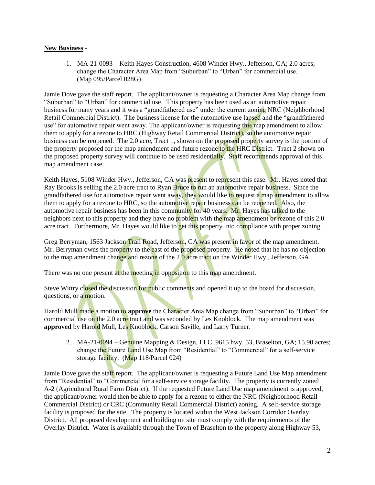## **New Business** -

1. MA-21-0093 – Keith Hayes Construction, 4608 Winder Hwy., Jefferson, GA; 2.0 acres; change the Character Area Map from "Suburban" to "Urban" for commercial use. (Map 095/Parcel 028G)

Jamie Dove gave the staff report. The applicant/owner is requesting a Character Area Map change from "Suburban" to "Urban" for commercial use. This property has been used as an automotive repair business for many years and it was a "grandfathered use" under the current zoning NRC (Neighborhood Retail Commercial District). The business license for the automotive use lapsed and the "grandfathered use" for automotive repair went away. The applicant/owner is requesting this map amendment to allow them to apply for a rezone to HRC (Highway Retail Commercial District), so the automotive repair business can be reopened. The 2.0 acre, Tract 1, shown on the proposed property survey is the portion of the property proposed for the map amendment and future rezone to the HRC District. Tract 2 shown on the proposed property survey will continue to be used residentially. Staff recommends approval of this map amendment case.

Keith Hayes, 5108 Winder Hwy., Jefferson, GA was present to represent this case. Mr. Hayes noted that Ray Brooks is selling the 2.0 acre tract to Ryan Bruce to run an automotive repair business. Since the grandfathered use for automotive repair went away, they would like to request a map amendment to allow them to apply for a rezone to HRC, so the automotive repair business can be reopened. Also, the automotive repair business has been in this community for 40 years. Mr. Hayes has talked to the neighbors next to this property and they have no problem with the map amendment or rezone of this 2.0 acre tract. Furthermore, Mr. Hayes would like to get this property into compliance with proper zoning.

Greg Berryman, 1563 Jackson Trail Road, Jefferson, GA was present in favor of the map amendment. Mr. Berryman owns the property to the east of the proposed property. He noted that he has no objection to the map amendment change and rezone of the 2.0 acre tract on the Winder Hwy., Jefferson, GA.

There was no one present at the meeting in opposition to this map amendment.

Steve Wittry closed the discussion for public comments and opened it up to the board for discussion, questions, or a motion.

Harold Mull made a motion to **approve** the Character Area Map change from "Suburban" to "Urban" for commercial use on the 2.0 acre tract and was seconded by Les Knoblock. The map amendment was **approved** by Harold Mull, Les Knoblock, Carson Saville, and Larry Turner.

2. MA-21-0094 – Genuine Mapping & Design, LLC, 9615 hwy. 53, Braselton, GA; 15.90 acres; change the Future Land Use Map from "Residential" to "Commercial" for a self-service storage facility. (Map 118/Parcel 024)

Jamie Dove gave the staff report. The applicant/owner is requesting a Future Land Use Map amendment from "Residential" to "Commercial for a self-service storage facility. The property is currently zoned A-2 (Agricultural Rural Farm District). If the requested Future Land Use map amendment is approved, the applicant/owner would then be able to apply for a rezone to either the NRC (Neighborhood Retail Commercial District) or CRC (Community Retail Commercial District) zoning. A self-service storage facility is proposed for the site. The property is located within the West Jackson Corridor Overlay District. All proposed development and building on site must comply with the requirements of the Overlay District. Water is available through the Town of Braselton to the property along Highway 53,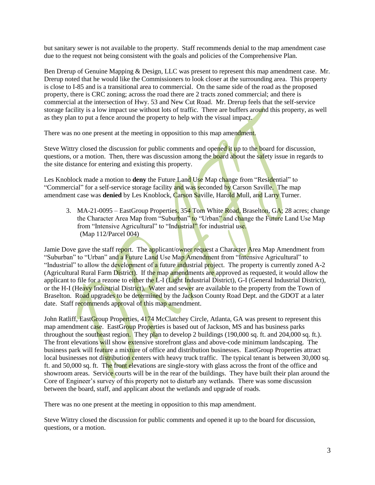but sanitary sewer is not available to the property. Staff recommends denial to the map amendment case due to the request not being consistent with the goals and policies of the Comprehensive Plan.

Ben Drerup of Genuine Mapping & Design, LLC was present to represent this map amendment case. Mr. Drerup noted that he would like the Commissioners to look closer at the surrounding area. This property is close to I-85 and is a transitional area to commercial. On the same side of the road as the proposed property, there is CRC zoning; across the road there are 2 tracts zoned commercial; and there is commercial at the intersection of Hwy. 53 and New Cut Road. Mr. Drerup feels that the self-service storage facility is a low impact use without lots of traffic. There are buffers around this property, as well as they plan to put a fence around the property to help with the visual impact.

There was no one present at the meeting in opposition to this map amendment.

Steve Wittry closed the discussion for public comments and opened it up to the board for discussion, questions, or a motion. Then, there was discussion among the board about the safety issue in regards to the site distance for entering and existing this property.

Les Knoblock made a motion to **deny** the Future Land Use Map change from "Residential" to "Commercial" for a self-service storage facility and was seconded by Carson Saville. The map amendment case was **denied** by Les Knoblock, Carson Saville, Harold Mull, and Larry Turner.

3. MA-21-0095 – EastGroup Properties, 354 Tom White Road, Braselton, GA; 28 acres; change the Character Area Map from "Suburban" to "Urban" and change the Future Land Use Map from "Intensive Agricultural" to "Industrial" for industrial use. (Map 112/Parcel 004)

Jamie Dove gave the staff report. The applicant/owner request a Character Area Map Amendment from "Suburban" to "Urban" and a Future Land Use Map Amendment from "Intensive Agricultural" to "Industrial" to allow the development of a future industrial project. The property is currently zoned A-2 (Agricultural Rural Farm District). If the map amendments are approved as requested, it would allow the applicant to file for a rezone to either the L-I (Light Industrial District), G-I (General Industrial District), or the H-I (Heavy Industrial District). Water and sewer are available to the property from the Town of Braselton. Road upgrades to be determined by the Jackson County Road Dept. and the GDOT at a later date. Staff recommends approval of this map amendment.

John Ratliff, EastGroup Properties, 4174 McClatchey Circle, Atlanta, GA was present to represent this map amendment case. EastGroup Properties is based out of Jackson, MS and has business parks throughout the southeast region. They plan to develop 2 buildings (190,000 sq. ft. and 204,000 sq. ft.). The front elevations will show extensive storefront glass and above-code minimum landscaping. The business park will feature a mixture of office and distribution businesses. EastGroup Properties attract local businesses not distribution centers with heavy truck traffic. The typical tenant is between 30,000 sq. ft. and 50,000 sq. ft. The front elevations are single-story with glass across the front of the office and showroom areas. Service courts will be in the rear of the buildings. They have built their plan around the Core of Engineer's survey of this property not to disturb any wetlands. There was some discussion between the board, staff, and applicant about the wetlands and upgrade of roads.

There was no one present at the meeting in opposition to this map amendment.

Steve Wittry closed the discussion for public comments and opened it up to the board for discussion, questions, or a motion.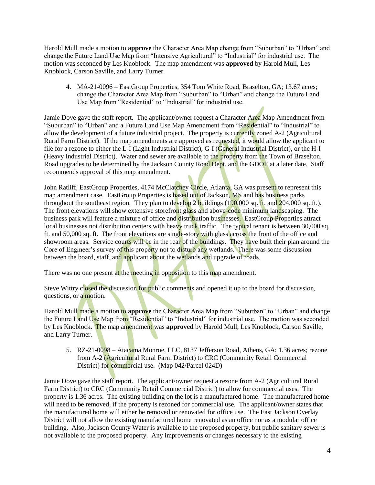Harold Mull made a motion to **approve** the Character Area Map change from "Suburban" to "Urban" and change the Future Land Use Map from "Intensive Agricultural" to "Industrial" for industrial use. The motion was seconded by Les Knoblock. The map amendment was **approved** by Harold Mull, Les Knoblock, Carson Saville, and Larry Turner.

4. MA-21-0096 – EastGroup Properties, 354 Tom White Road, Braselton, GA; 13.67 acres; change the Character Area Map from "Suburban" to "Urban" and change the Future Land Use Map from "Residential" to "Industrial" for industrial use.

Jamie Dove gave the staff report. The applicant/owner request a Character Area Map Amendment from "Suburban" to "Urban" and a Future Land Use Map Amendment from "Residential" to "Industrial" to allow the development of a future industrial project. The property is currently zoned A-2 (Agricultural Rural Farm District). If the map amendments are approved as requested, it would allow the applicant to file for a rezone to either the L-I (Light Industrial District), G-I (General Industrial District), or the H-I (Heavy Industrial District). Water and sewer are available to the property from the Town of Braselton. Road upgrades to be determined by the Jackson County Road Dept. and the GDOT at a later date. Staff recommends approval of this map amendment.

John Ratliff, EastGroup Properties, 4174 McClatchey Circle, Atlanta, GA was present to represent this map amendment case. EastGroup Properties is based out of Jackson, MS and has business parks throughout the southeast region. They plan to develop 2 buildings  $(190,000 \text{ sq. ft.} \text{ and } 204,000 \text{ sq. ft.})$ . The front elevations will show extensive storefront glass and above-code minimum landscaping. The business park will feature a mixture of office and distribution businesses. EastGroup Properties attract local businesses not distribution centers with heavy truck traffic. The typical tenant is between 30,000 sq. ft. and 50,000 sq. ft. The front elevations are single-story with glass across the front of the office and showroom areas. Service courts will be in the rear of the buildings. They have built their plan around the Core of Engineer's survey of this property not to disturb any wetlands. There was some discussion between the board, staff, and applicant about the wetlands and upgrade of roads.

There was no one present at the meeting in opposition to this map amendment.

Steve Wittry closed the discussion for public comments and opened it up to the board for discussion, questions, or a motion.

Harold Mull made a motion to **approve** the Character Area Map from "Suburban" to "Urban" and change the Future Land Use Map from "Residential" to "Industrial" for industrial use. The motion was seconded by Les Knoblock. The map amendment was **approved** by Harold Mull, Les Knoblock, Carson Saville, and Larry Turner.

5. RZ-21-0098 – Atacama Monroe, LLC, 8137 Jefferson Road, Athens, GA; 1.36 acres; rezone from A-2 (Agricultural Rural Farm District) to CRC (Community Retail Commercial District) for commercial use. (Map 042/Parcel 024D)

Jamie Dove gave the staff report. The applicant/owner request a rezone from A-2 (Agricultural Rural Farm District) to CRC (Community Retail Commercial District) to allow for commercial uses. The property is 1.36 acres. The existing building on the lot is a manufactured home. The manufactured home will need to be removed, if the property is rezoned for commercial use. The applicant/owner states that the manufactured home will either be removed or renovated for office use. The East Jackson Overlay District will not allow the existing manufactured home renovated as an office nor as a modular office building. Also, Jackson County Water is available to the proposed property, but public sanitary sewer is not available to the proposed property. Any improvements or changes necessary to the existing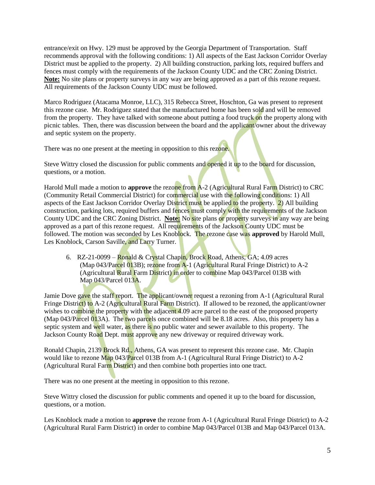entrance/exit on Hwy. 129 must be approved by the Georgia Department of Transportation. Staff recommends approval with the following conditions: 1) All aspects of the East Jackson Corridor Overlay District must be applied to the property. 2) All building construction, parking lots, required buffers and fences must comply with the requirements of the Jackson County UDC and the CRC Zoning District. **Note:** No site plans or property surveys in any way are being approved as a part of this rezone request. All requirements of the Jackson County UDC must be followed.

Marco Rodriguez (Atacama Monroe, LLC), 315 Rebecca Street, Hoschton, Ga was present to represent this rezone case. Mr. Rodriguez stated that the manufactured home has been sold and will be removed from the property. They have talked with someone about putting a food truck on the property along with picnic tables. Then, there was discussion between the board and the applicant/owner about the driveway and septic system on the property.

There was no one present at the meeting in opposition to this rezone.

Steve Wittry closed the discussion for public comments and opened it up to the board for discussion, questions, or a motion.

Harold Mull made a motion to **approve** the rezone from A-2 (Agricultural Rural Farm District) to CRC (Community Retail Commercial District) for commercial use with the following conditions: 1) All aspects of the East Jackson Corridor Overlay District must be applied to the property. 2) All building construction, parking lots, required buffers and fences must comply with the requirements of the Jackson County UDC and the CRC Zoning District. **Note:** No site plans or property surveys in any way are being approved as a part of this rezone request. All requirements of the Jackson County UDC must be followed. The motion was seconded by Les Knoblock. The rezone case was **approved** by Harold Mull, Les Knoblock, Carson Saville, and Larry Turner.

6. RZ-21-0099 – Ronald & Crystal Chapin, Brock Road, Athens, GA; 4.09 acres (Map 043/Parcel 013B); rezone from A-1 (Agricultural Rural Fringe District) to A-2 (Agricultural Rural Farm District) in order to combine Map 043/Parcel 013B with Map 043/Parcel 013A.

Jamie Dove gave the staff report. The applicant/owner request a rezoning from A-1 (Agricultural Rural Fringe District) to A-2 (Agricultural Rural Farm District). If allowed to be rezoned, the applicant/owner wishes to combine the property with the adjacent 4.09 acre parcel to the east of the proposed property (Map 043/Parcel 013A). The two parcels once combined will be 8.18 acres. Also, this property has a septic system and well water, as there is no public water and sewer available to this property. The Jackson County Road Dept. must approve any new driveway or required driveway work.

Ronald Chapin, 2139 Brock Rd., Athens, GA was present to represent this rezone case. Mr. Chapin would like to rezone Map 043/Parcel 013B from A-1 (Agricultural Rural Fringe District) to A-2 (Agricultural Rural Farm District) and then combine both properties into one tract.

There was no one present at the meeting in opposition to this rezone.

Steve Wittry closed the discussion for public comments and opened it up to the board for discussion, questions, or a motion.

Les Knoblock made a motion to **approve** the rezone from A-1 (Agricultural Rural Fringe District) to A-2 (Agricultural Rural Farm District) in order to combine Map 043/Parcel 013B and Map 043/Parcel 013A.